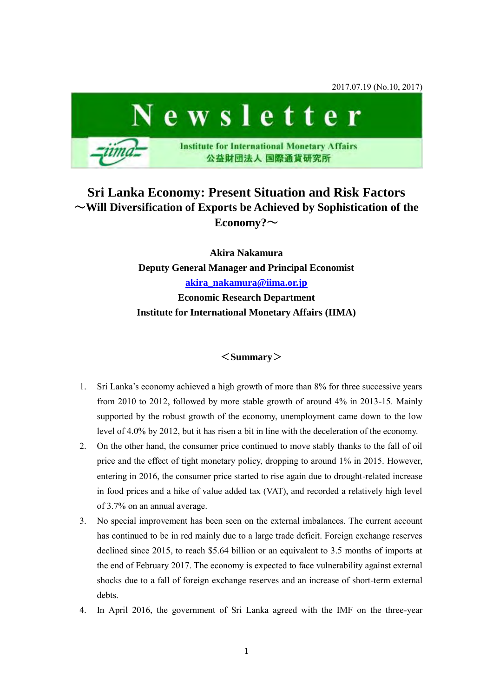

# **Sri Lanka Economy: Present Situation and Risk Factors**  ~**Will Diversification of Exports be Achieved by Sophistication of the Economy?**~

**Akira Nakamura Deputy General Manager and Principal Economist [akira\\_nakamura@iima.or.jp](mailto:akira_nakamura@iima.or.jp) Economic Research Department Institute for International Monetary Affairs (IIMA)** 

### <**Summary**>

- 1. Sri Lanka's economy achieved a high growth of more than 8% for three successive years from 2010 to 2012, followed by more stable growth of around 4% in 2013-15. Mainly supported by the robust growth of the economy, unemployment came down to the low level of 4.0% by 2012, but it has risen a bit in line with the deceleration of the economy.
- 2. On the other hand, the consumer price continued to move stably thanks to the fall of oil price and the effect of tight monetary policy, dropping to around 1% in 2015. However, entering in 2016, the consumer price started to rise again due to drought-related increase in food prices and a hike of value added tax (VAT), and recorded a relatively high level of 3.7% on an annual average.
- 3. No special improvement has been seen on the external imbalances. The current account has continued to be in red mainly due to a large trade deficit. Foreign exchange reserves declined since 2015, to reach \$5.64 billion or an equivalent to 3.5 months of imports at the end of February 2017. The economy is expected to face vulnerability against external shocks due to a fall of foreign exchange reserves and an increase of short-term external debts.
- 4. In April 2016, the government of Sri Lanka agreed with the IMF on the three-year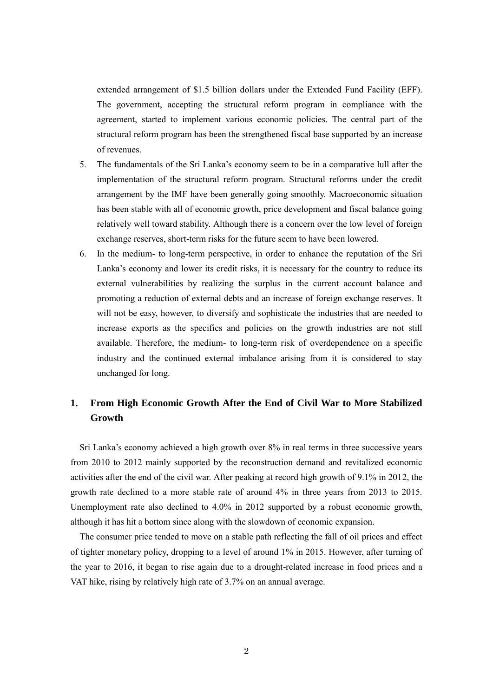extended arrangement of \$1.5 billion dollars under the Extended Fund Facility (EFF). The government, accepting the structural reform program in compliance with the agreement, started to implement various economic policies. The central part of the structural reform program has been the strengthened fiscal base supported by an increase of revenues.

- 5. The fundamentals of the Sri Lanka's economy seem to be in a comparative lull after the implementation of the structural reform program. Structural reforms under the credit arrangement by the IMF have been generally going smoothly. Macroeconomic situation has been stable with all of economic growth, price development and fiscal balance going relatively well toward stability. Although there is a concern over the low level of foreign exchange reserves, short-term risks for the future seem to have been lowered.
- 6. In the medium- to long-term perspective, in order to enhance the reputation of the Sri Lanka's economy and lower its credit risks, it is necessary for the country to reduce its external vulnerabilities by realizing the surplus in the current account balance and promoting a reduction of external debts and an increase of foreign exchange reserves. It will not be easy, however, to diversify and sophisticate the industries that are needed to increase exports as the specifics and policies on the growth industries are not still available. Therefore, the medium- to long-term risk of overdependence on a specific industry and the continued external imbalance arising from it is considered to stay unchanged for long.

## **1. From High Economic Growth After the End of Civil War to More Stabilized Growth**

Sri Lanka's economy achieved a high growth over 8% in real terms in three successive years from 2010 to 2012 mainly supported by the reconstruction demand and revitalized economic activities after the end of the civil war. After peaking at record high growth of 9.1% in 2012, the growth rate declined to a more stable rate of around 4% in three years from 2013 to 2015. Unemployment rate also declined to 4.0% in 2012 supported by a robust economic growth, although it has hit a bottom since along with the slowdown of economic expansion.

The consumer price tended to move on a stable path reflecting the fall of oil prices and effect of tighter monetary policy, dropping to a level of around 1% in 2015. However, after turning of the year to 2016, it began to rise again due to a drought-related increase in food prices and a VAT hike, rising by relatively high rate of 3.7% on an annual average.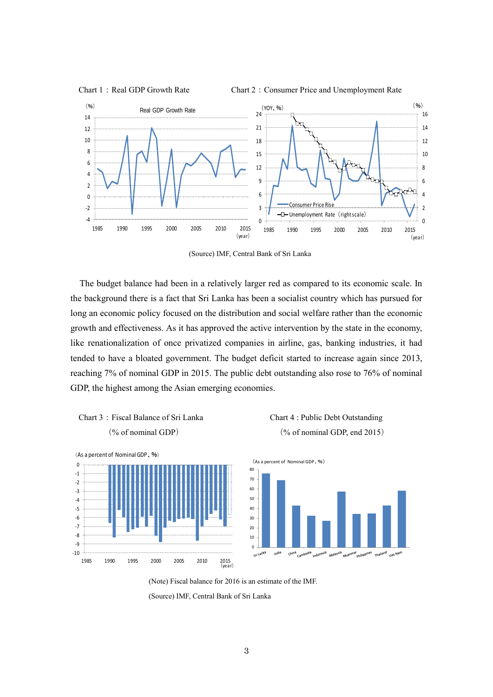

(Source) IMF, Central Bank of Sri Lanka

The budget balance had been in a relatively larger red as compared to its economic scale. In the background there is a fact that Sri Lanka has been a socialist country which has pursued for long an economic policy focused on the distribution and social welfare rather than the economic growth and effectiveness. As it has approved the active intervention by the state in the economy, like renationalization of once privatized companies in airline, gas, banking industries, it had tended to have a bloated government. The budget deficit started to increase again since 2013, reaching 7% of nominal GDP in 2015. The public debt outstanding also rose to 76% of nominal GDP, the highest among the Asian emerging economies.





ant Nat



(Note) Fiscal balance for 2016 is an estimate of the IMF.

<sup>(</sup>Source) IMF, Central Bank of Sri Lanka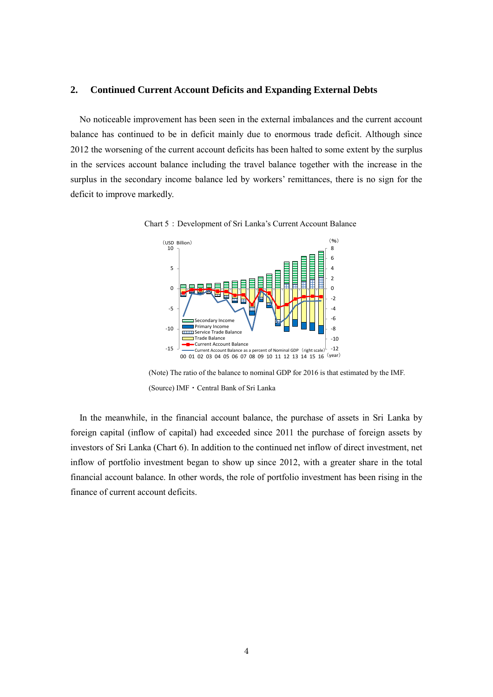### **2. Continued Current Account Deficits and Expanding External Debts**

No noticeable improvement has been seen in the external imbalances and the current account balance has continued to be in deficit mainly due to enormous trade deficit. Although since 2012 the worsening of the current account deficits has been halted to some extent by the surplus in the services account balance including the travel balance together with the increase in the surplus in the secondary income balance led by workers' remittances, there is no sign for the deficit to improve markedly.



Chart 5: Development of Sri Lanka's Current Account Balance

(Note) The ratio of the balance to nominal GDP for 2016 is that estimated by the IMF. (Source) IMF・Central Bank of Sri Lanka

In the meanwhile, in the financial account balance, the purchase of assets in Sri Lanka by foreign capital (inflow of capital) had exceeded since 2011 the purchase of foreign assets by investors of Sri Lanka (Chart 6). In addition to the continued net inflow of direct investment, net inflow of portfolio investment began to show up since 2012, with a greater share in the total financial account balance. In other words, the role of portfolio investment has been rising in the finance of current account deficits.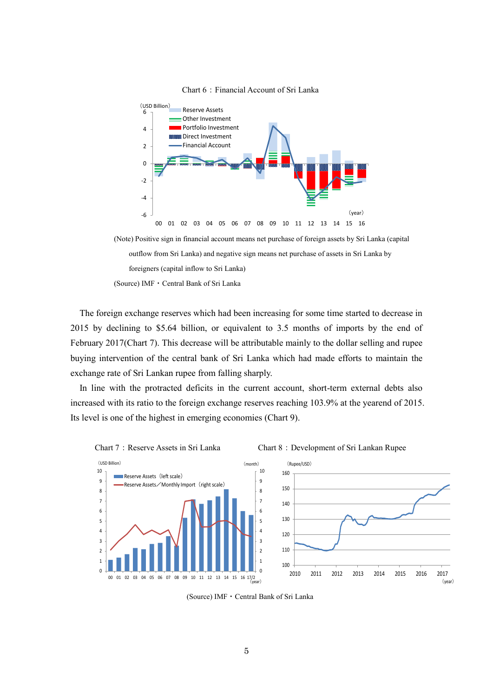

Chart 6:Financial Account of Sri Lanka

(Note) Positive sign in financial account means net purchase of foreign assets by Sri Lanka (capital outflow from Sri Lanka) and negative sign means net purchase of assets in Sri Lanka by foreigners (capital inflow to Sri Lanka) (Source) IMF・Central Bank of Sri Lanka

The foreign exchange reserves which had been increasing for some time started to decrease in 2015 by declining to \$5.64 billion, or equivalent to 3.5 months of imports by the end of February 2017(Chart 7). This decrease will be attributable mainly to the dollar selling and rupee buying intervention of the central bank of Sri Lanka which had made efforts to maintain the exchange rate of Sri Lankan rupee from falling sharply.

In line with the protracted deficits in the current account, short-term external debts also increased with its ratio to the foreign exchange reserves reaching 103.9% at the yearend of 2015. Its level is one of the highest in emerging economies (Chart 9).



(Source) IMF・Central Bank of Sri Lanka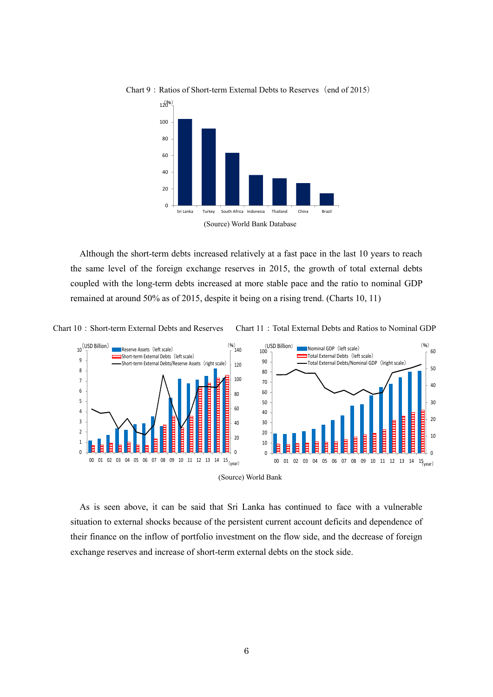

Chart 9: Ratios of Short-term External Debts to Reserves (end of 2015)

Although the short-term debts increased relatively at a fast pace in the last 10 years to reach the same level of the foreign exchange reserves in 2015, the growth of total external debts coupled with the long-term debts increased at more stable pace and the ratio to nominal GDP remained at around 50% as of 2015, despite it being on a rising trend. (Charts 10, 11)





As is seen above, it can be said that Sri Lanka has continued to face with a vulnerable situation to external shocks because of the persistent current account deficits and dependence of their finance on the inflow of portfolio investment on the flow side, and the decrease of foreign exchange reserves and increase of short-term external debts on the stock side.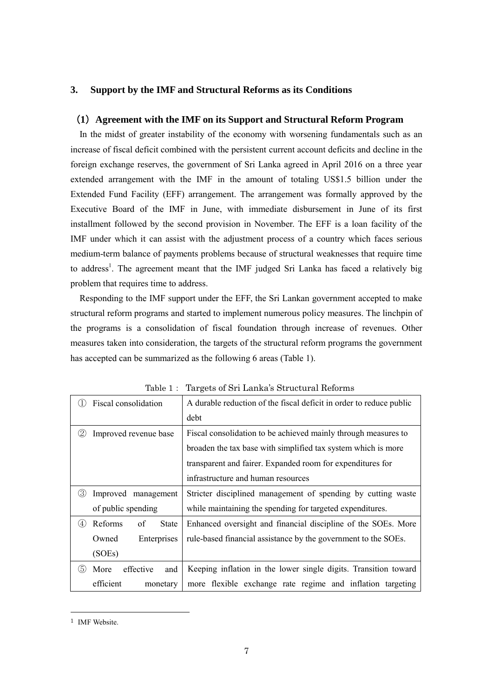### **3. Support by the IMF and Structural Reforms as its Conditions**

#### (**1**)**Agreement with the IMF on its Support and Structural Reform Program**

In the midst of greater instability of the economy with worsening fundamentals such as an increase of fiscal deficit combined with the persistent current account deficits and decline in the foreign exchange reserves, the government of Sri Lanka agreed in April 2016 on a three year extended arrangement with the IMF in the amount of totaling US\$1.5 billion under the Extended Fund Facility (EFF) arrangement. The arrangement was formally approved by the Executive Board of the IMF in June, with immediate disbursement in June of its first installment followed by the second provision in November. The EFF is a loan facility of the IMF under which it can assist with the adjustment process of a country which faces serious medium-term balance of payments problems because of structural weaknesses that require time to address<sup>1</sup>. The agreement meant that the IMF judged Sri Lanka has faced a relatively big problem that requires time to address.

Responding to the IMF support under the EFF, the Sri Lankan government accepted to make structural reform programs and started to implement numerous policy measures. The linchpin of the programs is a consolidation of fiscal foundation through increase of revenues. Other measures taken into consideration, the targets of the structural reform programs the government has accepted can be summarized as the following 6 areas (Table 1).

| Fiscal consolidation<br>$\perp$      | A durable reduction of the fiscal deficit in order to reduce public |
|--------------------------------------|---------------------------------------------------------------------|
|                                      | debt                                                                |
| Q<br>Improved revenue base           | Fiscal consolidation to be achieved mainly through measures to      |
|                                      | broaden the tax base with simplified tax system which is more       |
|                                      | transparent and fairer. Expanded room for expenditures for          |
|                                      | infrastructure and human resources                                  |
| ③<br>Improved management             | Stricter disciplined management of spending by cutting waste        |
| of public spending                   | while maintaining the spending for targeted expenditures.           |
| (4)<br>Reforms<br>of<br><b>State</b> | Enhanced oversight and financial discipline of the SOEs. More       |
| Owned<br>Enterprises                 | rule-based financial assistance by the government to the SOEs.      |
| (SOEs)                               |                                                                     |
| (5)<br>More<br>effective<br>and      | Keeping inflation in the lower single digits. Transition toward     |
| efficient<br>monetary                | more flexible exchange rate regime and inflation targeting          |

Table 1: Targets of Sri Lanka's Structural Reforms

-

<sup>&</sup>lt;sup>1</sup> IMF Website.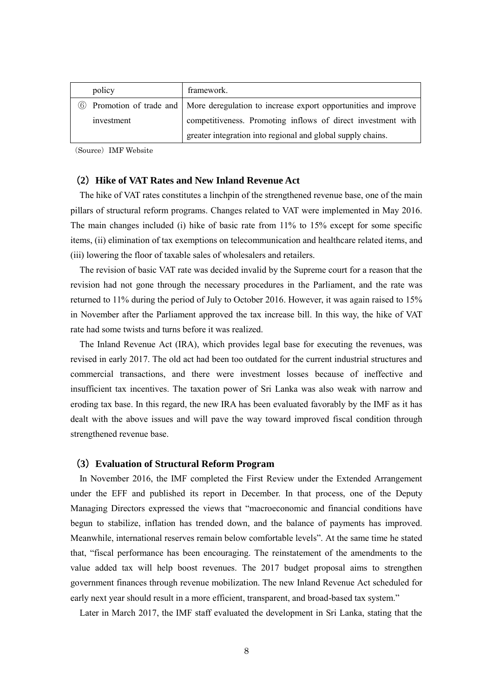| policy     | framework.                                                                                     |
|------------|------------------------------------------------------------------------------------------------|
|            | <b>6</b> Promotion of trade and More deregulation to increase export opportunities and improve |
| investment | competitiveness. Promoting inflows of direct investment with                                   |
|            | greater integration into regional and global supply chains.                                    |

(Source) IMF Website

#### (**2**)**Hike of VAT Rates and New Inland Revenue Act**

The hike of VAT rates constitutes a linchpin of the strengthened revenue base, one of the main pillars of structural reform programs. Changes related to VAT were implemented in May 2016. The main changes included (i) hike of basic rate from 11% to 15% except for some specific items, (ii) elimination of tax exemptions on telecommunication and healthcare related items, and (iii) lowering the floor of taxable sales of wholesalers and retailers.

The revision of basic VAT rate was decided invalid by the Supreme court for a reason that the revision had not gone through the necessary procedures in the Parliament, and the rate was returned to 11% during the period of July to October 2016. However, it was again raised to 15% in November after the Parliament approved the tax increase bill. In this way, the hike of VAT rate had some twists and turns before it was realized.

The Inland Revenue Act (IRA), which provides legal base for executing the revenues, was revised in early 2017. The old act had been too outdated for the current industrial structures and commercial transactions, and there were investment losses because of ineffective and insufficient tax incentives. The taxation power of Sri Lanka was also weak with narrow and eroding tax base. In this regard, the new IRA has been evaluated favorably by the IMF as it has dealt with the above issues and will pave the way toward improved fiscal condition through strengthened revenue base.

#### (**3**)**Evaluation of Structural Reform Program**

In November 2016, the IMF completed the First Review under the Extended Arrangement under the EFF and published its report in December. In that process, one of the Deputy Managing Directors expressed the views that "macroeconomic and financial conditions have begun to stabilize, inflation has trended down, and the balance of payments has improved. Meanwhile, international reserves remain below comfortable levels". At the same time he stated that, "fiscal performance has been encouraging. The reinstatement of the amendments to the value added tax will help boost revenues. The 2017 budget proposal aims to strengthen government finances through revenue mobilization. The new Inland Revenue Act scheduled for early next year should result in a more efficient, transparent, and broad-based tax system."

Later in March 2017, the IMF staff evaluated the development in Sri Lanka, stating that the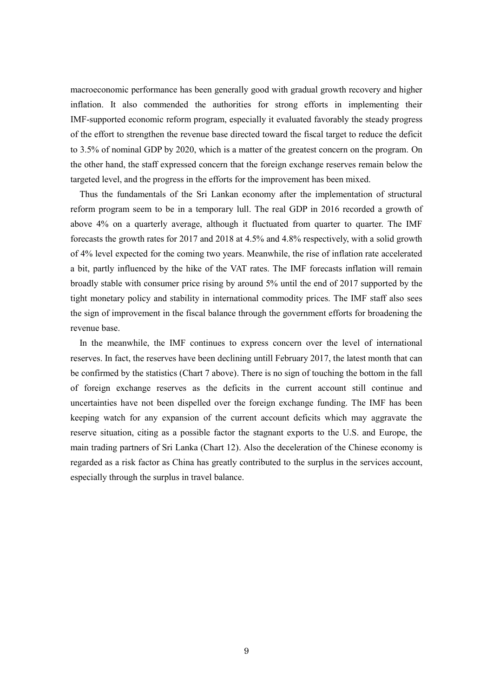macroeconomic performance has been generally good with gradual growth recovery and higher inflation. It also commended the authorities for strong efforts in implementing their IMF-supported economic reform program, especially it evaluated favorably the steady progress of the effort to strengthen the revenue base directed toward the fiscal target to reduce the deficit to 3.5% of nominal GDP by 2020, which is a matter of the greatest concern on the program. On the other hand, the staff expressed concern that the foreign exchange reserves remain below the targeted level, and the progress in the efforts for the improvement has been mixed.

Thus the fundamentals of the Sri Lankan economy after the implementation of structural reform program seem to be in a temporary lull. The real GDP in 2016 recorded a growth of above 4% on a quarterly average, although it fluctuated from quarter to quarter. The IMF forecasts the growth rates for 2017 and 2018 at 4.5% and 4.8% respectively, with a solid growth of 4% level expected for the coming two years. Meanwhile, the rise of inflation rate accelerated a bit, partly influenced by the hike of the VAT rates. The IMF forecasts inflation will remain broadly stable with consumer price rising by around 5% until the end of 2017 supported by the tight monetary policy and stability in international commodity prices. The IMF staff also sees the sign of improvement in the fiscal balance through the government efforts for broadening the revenue base.

In the meanwhile, the IMF continues to express concern over the level of international reserves. In fact, the reserves have been declining untill February 2017, the latest month that can be confirmed by the statistics (Chart 7 above). There is no sign of touching the bottom in the fall of foreign exchange reserves as the deficits in the current account still continue and uncertainties have not been dispelled over the foreign exchange funding. The IMF has been keeping watch for any expansion of the current account deficits which may aggravate the reserve situation, citing as a possible factor the stagnant exports to the U.S. and Europe, the main trading partners of Sri Lanka (Chart 12). Also the deceleration of the Chinese economy is regarded as a risk factor as China has greatly contributed to the surplus in the services account, especially through the surplus in travel balance.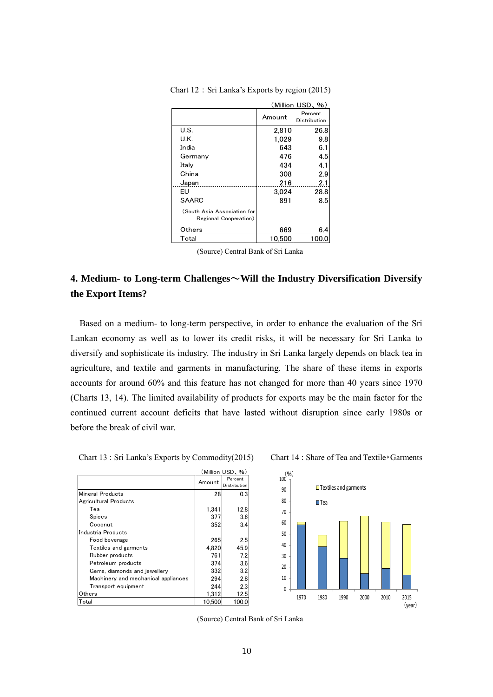|                                                      | (Million USD、%) |                         |  |
|------------------------------------------------------|-----------------|-------------------------|--|
|                                                      | Amount          | Percent<br>Distribution |  |
| U.S.                                                 | 2.810           | 26.8                    |  |
| U.K.                                                 | 1.029           | 9.8                     |  |
| India                                                | 643             | 6.1                     |  |
| Germany                                              | 476             | 4.5                     |  |
| Italy                                                | 434             | 4.1                     |  |
| China                                                | 308             | 2.9                     |  |
| Japan                                                | 216             | 2.1                     |  |
| EU                                                   | 3.024           | 28.8                    |  |
| <b>SAARC</b>                                         | 891             | 8.5                     |  |
| (South Asia Association for<br>Regional Cooperation) |                 |                         |  |
| Others                                               | 669             | 6.4                     |  |
| Total                                                | 10.500          | 100.                    |  |

Chart 12:Sri Lanka's Exports by region (2015)

(Source) Central Bank of Sri Lanka

# **4. Medium- to Long-term Challenges**~**Will the Industry Diversification Diversify the Export Items?**

Based on a medium- to long-term perspective, in order to enhance the evaluation of the Sri Lankan economy as well as to lower its credit risks, it will be necessary for Sri Lanka to diversify and sophisticate its industry. The industry in Sri Lanka largely depends on black tea in agriculture, and textile and garments in manufacturing. The share of these items in exports accounts for around 60% and this feature has not changed for more than 40 years since 1970 (Charts 13, 14). The limited availability of products for exports may be the main factor for the continued current account deficits that have lasted without disruption since early 1980s or before the break of civil war.

| Chart 13 : Sri Lanka's Exports by Commodity(2015) | Chart 14 : Share of Tea and Textile Garments |
|---------------------------------------------------|----------------------------------------------|
|                                                   |                                              |

| (Million USD, %)                    |        |                         |
|-------------------------------------|--------|-------------------------|
|                                     | Amount | Percent<br>Distribution |
| <b>Mineral Products</b>             | 28     | 0.3                     |
| Agricultural Products               |        |                         |
| Tea                                 | 1.341  | 12.8                    |
| Spices                              | 377    | 3.6                     |
| Coconut                             | 352    | 3.4                     |
| Industria Products                  |        |                         |
| Food beverage                       | 265    | 2.5                     |
| Textiles and garments               | 4.820  | 45.9                    |
| Rubber products                     | 761    | 7.2                     |
| Petroleum products                  | 374    | 3.6                     |
| Gems, diamonds and jewellery        | 332    | 3.2                     |
| Machinery and mechanical appliances | 294    | 2.8                     |
| Transport equipment                 | 244    | 2.3                     |
| Others                              | 1,312  | 12.5                    |
| Total                               | 10.500 | 100.                    |





(Source) Central Bank of Sri Lanka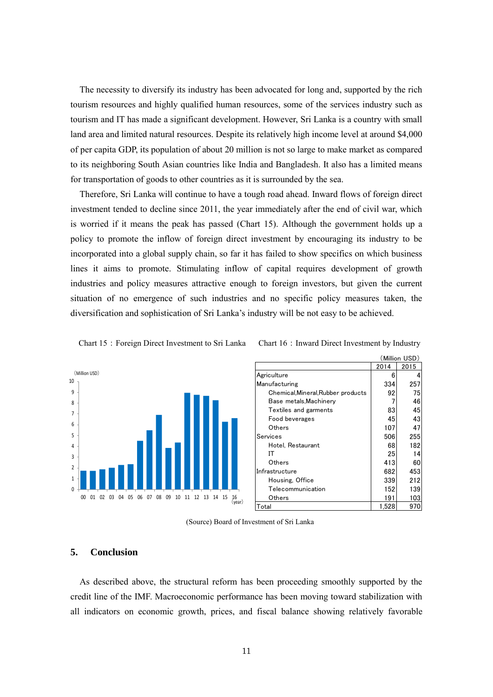The necessity to diversify its industry has been advocated for long and, supported by the rich tourism resources and highly qualified human resources, some of the services industry such as tourism and IT has made a significant development. However, Sri Lanka is a country with small land area and limited natural resources. Despite its relatively high income level at around \$4,000 of per capita GDP, its population of about 20 million is not so large to make market as compared to its neighboring South Asian countries like India and Bangladesh. It also has a limited means for transportation of goods to other countries as it is surrounded by the sea.

Therefore, Sri Lanka will continue to have a tough road ahead. Inward flows of foreign direct investment tended to decline since 2011, the year immediately after the end of civil war, which is worried if it means the peak has passed (Chart 15). Although the government holds up a policy to promote the inflow of foreign direct investment by encouraging its industry to be incorporated into a global supply chain, so far it has failed to show specifics on which business lines it aims to promote. Stimulating inflow of capital requires development of growth industries and policy measures attractive enough to foreign investors, but given the current situation of no emergence of such industries and no specific policy measures taken, the diversification and sophistication of Sri Lanka's industry will be not easy to be achieved.



Chart 15: Foreign Direct Investment to Sri Lanka Chart 16: Inward Direct Investment by Industry

|                                    | (Million USD) |      |
|------------------------------------|---------------|------|
|                                    | 2014          | 2015 |
| Agriculture                        | 6             | 4    |
| Manufacturing                      | 334           | 257  |
| Chemical, Mineral, Rubber products | 92            | 75   |
| Base metals, Machinery             |               | 46   |
| Textiles and garments              | 83            | 45   |
| Food beverages                     | 45            | 43   |
| Others                             | 107           | 47   |
| Services                           | 506           | 255  |
| Hotel, Restaurant                  | 68            | 182  |
| IΤ                                 | 25            | 14   |
| Others                             | 413           | 60   |
| Infrastructure                     | 682           | 453  |
| Housing, Office                    | 339           | 212  |
| Telecommunication                  | 152           | 139  |
| Others                             | 191           | 103  |
| Total                              | 1,528         | 970  |

(Source) Board of Investment of Sri Lanka

#### **5. Conclusion**

As described above, the structural reform has been proceeding smoothly supported by the credit line of the IMF. Macroeconomic performance has been moving toward stabilization with all indicators on economic growth, prices, and fiscal balance showing relatively favorable